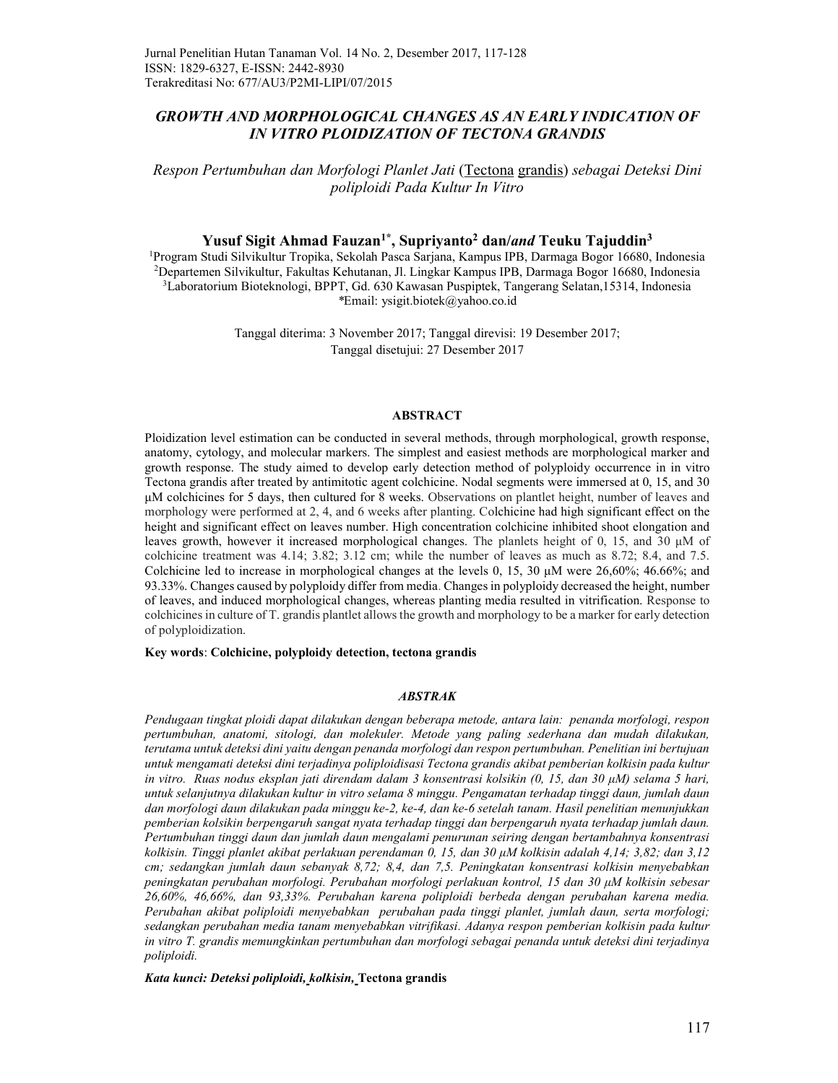#### GROWTH AND MORPHOLOGICAL CHANGES AS AN EARLY INDICATION OF IN VITRO PLOIDIZATION OF TECTONA GRANDIS

Respon Pertumbuhan dan Morfologi Planlet Jati (Tectona grandis) sebagai Deteksi Dini poliploidi Pada Kultur In Vitro

#### Yusuf Sigit Ahmad Fauzan<sup>1\*</sup>, Supriyanto<sup>2</sup> dan/and Teuku Tajuddin<sup>3</sup>

Program Studi Silvikultur Tropika, Sekolah Pasca Sarjana, Kampus IPB, Darmaga Bogor 16680, Indonesia Departemen Silvikultur, Fakultas Kehutanan, Jl. Lingkar Kampus IPB, Darmaga Bogor 16680, Indonesia Laboratorium Bioteknologi, BPPT, Gd. 630 Kawasan Puspiptek, Tangerang Selatan,15314, Indonesia \*Email: ysigit.biotek@yahoo.co.id

> Tanggal diterima: 3 November 2017; Tanggal direvisi: 19 Desember 2017; Tanggal disetujui: 27 Desember 2017

#### ABSTRACT

Ploidization level estimation can be conducted in several methods, through morphological, growth response, anatomy, cytology, and molecular markers. The simplest and easiest methods are morphological marker and growth response. The study aimed to develop early detection method of polyploidy occurrence in in vitro Tectona grandis after treated by antimitotic agent colchicine. Nodal segments were immersed at 0, 15, and 30 μM colchicines for 5 days, then cultured for 8 weeks. Observations on plantlet height, number of leaves and morphology were performed at 2, 4, and 6 weeks after planting. Colchicine had high significant effect on the height and significant effect on leaves number. High concentration colchicine inhibited shoot elongation and leaves growth, however it increased morphological changes. The planlets height of 0, 15, and 30 μM of colchicine treatment was 4.14; 3.82; 3.12 cm; while the number of leaves as much as 8.72; 8.4, and 7.5. Colchicine led to increase in morphological changes at the levels 0, 15, 30  $\mu$ M were 26,60%; 46.66%; and 93.33%. Changes caused by polyploidy differ from media. Changes in polyploidy decreased the height, number of leaves, and induced morphological changes, whereas planting media resulted in vitrification. Response to colchicines in culture of T. grandis plantlet allows the growth and morphology to be a marker for early detection of polyploidization.

#### Key words: Colchicine, polyploidy detection, tectona grandis

#### ABSTRAK

Pendugaan tingkat ploidi dapat dilakukan dengan beberapa metode, antara lain: penanda morfologi, respon pertumbuhan, anatomi, sitologi, dan molekuler. Metode yang paling sederhana dan mudah dilakukan, terutama untuk deteksi dini yaitu dengan penanda morfologi dan respon pertumbuhan. Penelitian ini bertujuan untuk mengamati deteksi dini terjadinya poliploidisasi Tectona grandis akibat pemberian kolkisin pada kultur in vitro. Ruas nodus eksplan jati direndam dalam 3 konsentrasi kolsikin (0, 15, dan 30 μM) selama 5 hari, untuk selanjutnya dilakukan kultur in vitro selama 8 minggu. Pengamatan terhadap tinggi daun, jumlah daun dan morfologi daun dilakukan pada minggu ke-2, ke-4, dan ke-6 setelah tanam. Hasil penelitian menunjukkan pemberian kolsikin berpengaruh sangat nyata terhadap tinggi dan berpengaruh nyata terhadap jumlah daun. Pertumbuhan tinggi daun dan jumlah daun mengalami penurunan seiring dengan bertambahnya konsentrasi kolkisin. Tinggi planlet akibat perlakuan perendaman 0, 15, dan 30 μM kolkisin adalah 4,14; 3,82; dan 3,12 cm; sedangkan jumlah daun sebanyak 8,72; 8,4, dan 7,5. Peningkatan konsentrasi kolkisin menyebabkan peningkatan perubahan morfologi. Perubahan morfologi perlakuan kontrol, 15 dan 30 μM kolkisin sebesar 26,60%, 46,66%, dan 93,33%. Perubahan karena poliploidi berbeda dengan perubahan karena media. Perubahan akibat poliploidi menyebabkan perubahan pada tinggi planlet, jumlah daun, serta morfologi; sedangkan perubahan media tanam menyebabkan vitrifikasi. Adanya respon pemberian kolkisin pada kultur in vitro T. grandis memungkinkan pertumbuhan dan morfologi sebagai penanda untuk deteksi dini terjadinya poliploidi.

Kata kunci: Deteksi poliploidi, kolkisin, Tectona grandis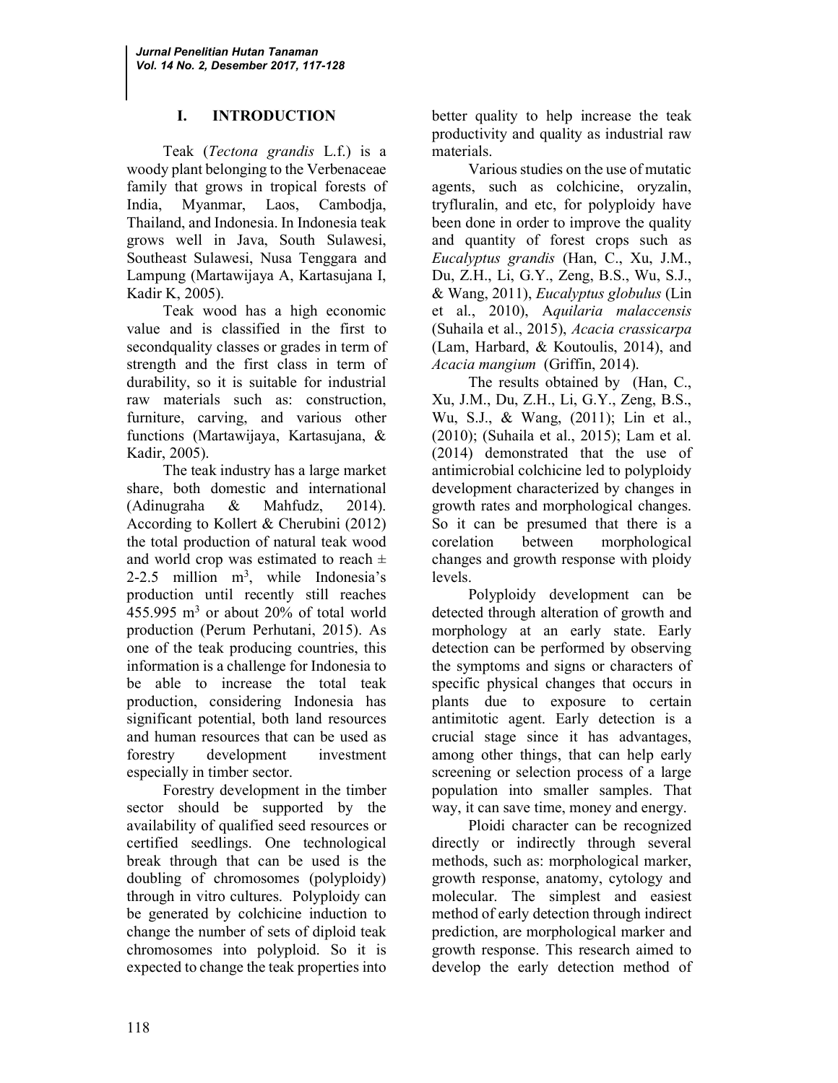# I. INTRODUCTION

Teak (Tectona grandis L.f.) is a woody plant belonging to the Verbenaceae family that grows in tropical forests of India, Myanmar, Laos, Cambodja, Thailand, and Indonesia. In Indonesia teak grows well in Java, South Sulawesi, Southeast Sulawesi, Nusa Tenggara and Lampung (Martawijaya A, Kartasujana I, Kadir K, 2005).

Teak wood has a high economic value and is classified in the first to secondquality classes or grades in term of strength and the first class in term of durability, so it is suitable for industrial raw materials such as: construction, furniture, carving, and various other functions (Martawijaya, Kartasujana, & Kadir, 2005).

The teak industry has a large market share, both domestic and international (Adinugraha & Mahfudz, 2014). According to Kollert & Cherubini (2012) the total production of natural teak wood and world crop was estimated to reach  $\pm$ 2-2.5 million  $m^3$ , while Indonesia's production until recently still reaches  $455.995 \text{ m}^3$  or about 20% of total world production (Perum Perhutani, 2015). As one of the teak producing countries, this information is a challenge for Indonesia to be able to increase the total teak production, considering Indonesia has significant potential, both land resources and human resources that can be used as forestry development investment especially in timber sector.

Forestry development in the timber sector should be supported by the availability of qualified seed resources or certified seedlings. One technological break through that can be used is the doubling of chromosomes (polyploidy) through in vitro cultures. Polyploidy can be generated by colchicine induction to change the number of sets of diploid teak chromosomes into polyploid. So it is expected to change the teak properties into

better quality to help increase the teak productivity and quality as industrial raw materials.

Various studies on the use of mutatic agents, such as colchicine, oryzalin, tryfluralin, and etc, for polyploidy have been done in order to improve the quality and quantity of forest crops such as Eucalyptus grandis (Han, C., Xu, J.M., Du, Z.H., Li, G.Y., Zeng, B.S., Wu, S.J., & Wang, 2011), Eucalyptus globulus (Lin et al., 2010), Aquilaria malaccensis (Suhaila et al., 2015), Acacia crassicarpa (Lam, Harbard, & Koutoulis, 2014), and Acacia mangium (Griffin, 2014).

The results obtained by (Han, C., Xu, J.M., Du, Z.H., Li, G.Y., Zeng, B.S., Wu, S.J., & Wang, (2011); Lin et al., (2010); (Suhaila et al., 2015); Lam et al. (2014) demonstrated that the use of antimicrobial colchicine led to polyploidy development characterized by changes in growth rates and morphological changes. So it can be presumed that there is a corelation between morphological changes and growth response with ploidy levels.

Polyploidy development can be detected through alteration of growth and morphology at an early state. Early detection can be performed by observing the symptoms and signs or characters of specific physical changes that occurs in plants due to exposure to certain antimitotic agent. Early detection is a crucial stage since it has advantages, among other things, that can help early screening or selection process of a large population into smaller samples. That way, it can save time, money and energy.

Ploidi character can be recognized directly or indirectly through several methods, such as: morphological marker, growth response, anatomy, cytology and molecular. The simplest and easiest method of early detection through indirect prediction, are morphological marker and growth response. This research aimed to develop the early detection method of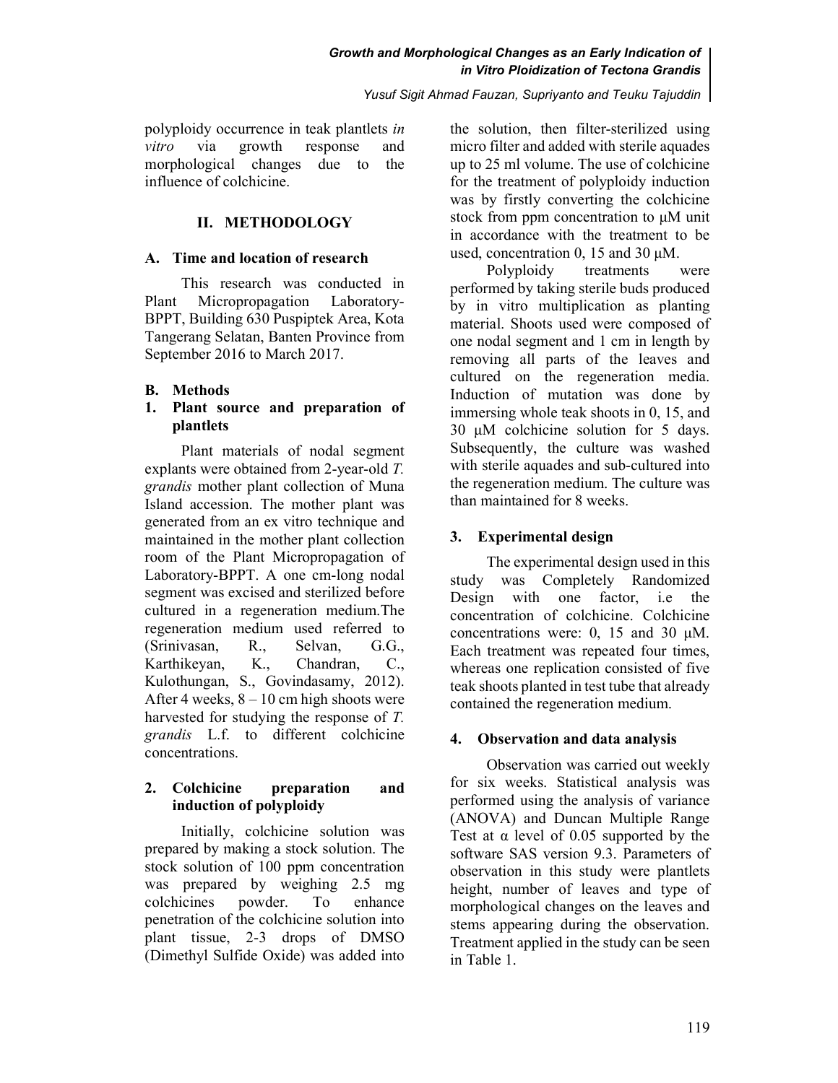### Growth and Morphological Changes as an Early Indication of in Vitro Ploidization of Tectona Grandis

Yusuf Sigit Ahmad Fauzan, Supriyanto and Teuku Tajuddin

polyploidy occurrence in teak plantlets in vitro via growth response and morphological changes due to the influence of colchicine.

# II. METHODOLOGY

### A. Time and location of research

This research was conducted in Plant Micropropagation Laboratory-BPPT, Building 630 Puspiptek Area, Kota Tangerang Selatan, Banten Province from September 2016 to March 2017.

# B. Methods

### 1. Plant source and preparation of plantlets

Plant materials of nodal segment explants were obtained from 2-year-old T. grandis mother plant collection of Muna Island accession. The mother plant was generated from an ex vitro technique and maintained in the mother plant collection room of the Plant Micropropagation of Laboratory-BPPT. A one cm-long nodal segment was excised and sterilized before cultured in a regeneration medium.The regeneration medium used referred to (Srinivasan, R., Selvan, G.G., Karthikeyan, K., Chandran, C., Kulothungan, S., Govindasamy, 2012). After 4 weeks,  $8 - 10$  cm high shoots were harvested for studying the response of T. grandis L.f. to different colchicine concentrations.

# 2. Colchicine preparation and induction of polyploidy

Initially, colchicine solution was prepared by making a stock solution. The stock solution of 100 ppm concentration was prepared by weighing 2.5 mg colchicines powder. To enhance penetration of the colchicine solution into plant tissue, 2-3 drops of DMSO (Dimethyl Sulfide Oxide) was added into the solution, then filter-sterilized using micro filter and added with sterile aquades up to 25 ml volume. The use of colchicine for the treatment of polyploidy induction was by firstly converting the colchicine stock from ppm concentration to μM unit in accordance with the treatment to be used, concentration 0, 15 and 30 μM.

Polyploidy treatments were performed by taking sterile buds produced by in vitro multiplication as planting material. Shoots used were composed of one nodal segment and 1 cm in length by removing all parts of the leaves and cultured on the regeneration media. Induction of mutation was done by immersing whole teak shoots in 0, 15, and 30 μM colchicine solution for 5 days. Subsequently, the culture was washed with sterile aquades and sub-cultured into the regeneration medium. The culture was than maintained for 8 weeks.

# 3. Experimental design

The experimental design used in this study was Completely Randomized Design with one factor, i.e the concentration of colchicine. Colchicine concentrations were: 0, 15 and 30 μM. Each treatment was repeated four times, whereas one replication consisted of five teak shoots planted in test tube that already contained the regeneration medium.

# 4. Observation and data analysis

Observation was carried out weekly for six weeks. Statistical analysis was performed using the analysis of variance (ANOVA) and Duncan Multiple Range Test at  $\alpha$  level of 0.05 supported by the software SAS version 9.3. Parameters of observation in this study were plantlets height, number of leaves and type of morphological changes on the leaves and stems appearing during the observation. Treatment applied in the study can be seen in Table 1.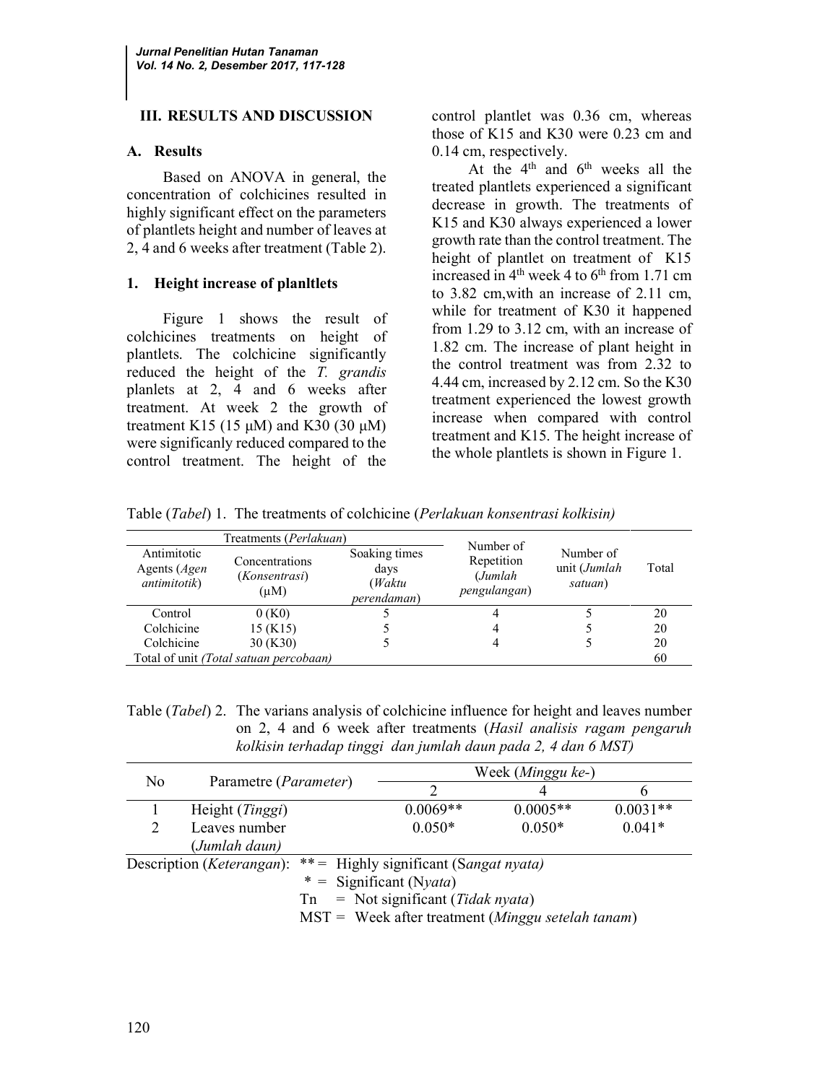### III. RESULTS AND DISCUSSION

#### A. Results

Based on ANOVA in general, the concentration of colchicines resulted in highly significant effect on the parameters of plantlets height and number of leaves at 2, 4 and 6 weeks after treatment (Table 2).

#### 1. Height increase of planltlets

Figure 1 shows the result of colchicines treatments on height of plantlets. The colchicine significantly reduced the height of the T. grandis planlets at 2, 4 and 6 weeks after treatment. At week 2 the growth of treatment K15 (15  $\mu$ M) and K30 (30  $\mu$ M) were significanly reduced compared to the control treatment. The height of the

control plantlet was 0.36 cm, whereas those of K15 and K30 were 0.23 cm and 0.14 cm, respectively.

At the 4<sup>th</sup> and 6<sup>th</sup> weeks all the treated plantlets experienced a significant decrease in growth. The treatments of K15 and K30 always experienced a lower growth rate than the control treatment. The height of plantlet on treatment of K15 increased in  $4<sup>th</sup>$  week 4 to  $6<sup>th</sup>$  from 1.71 cm to 3.82 cm,with an increase of 2.11 cm, while for treatment of K30 it happened from 1.29 to 3.12 cm, with an increase of 1.82 cm. The increase of plant height in the control treatment was from 2.32 to 4.44 cm, increased by 2.12 cm. So the K30 treatment experienced the lowest growth increase when compared with control treatment and K15. The height increase of the whole plantlets is shown in Figure 1.

Table (Tabel) 1. The treatments of colchicine (Perlakuan konsentrasi kolkisin)

|                                                             | Treatments (Perlakuan)                       | Number of                                              |                                       |                                      |       |
|-------------------------------------------------------------|----------------------------------------------|--------------------------------------------------------|---------------------------------------|--------------------------------------|-------|
| Antimitotic<br>Agents ( <i>Agen</i><br><i>antimitotik</i> ) | Concentrations<br>(Konsentrasi)<br>$(\mu M)$ | Soaking times<br>days<br>(Waktu<br><i>perendaman</i> ) | Repetition<br>(Jumlah<br>pengulangan) | Number of<br>unit (Jumlah<br>satuan) | Total |
| Control                                                     | 0(K0)                                        |                                                        |                                       |                                      | 20    |
| Colchicine                                                  | $15$ (K15)                                   |                                                        |                                       |                                      | 20    |
| Colchicine                                                  | 30 (K30)                                     |                                                        |                                       |                                      | 20    |
|                                                             | Total of unit (Total satuan percobaan)       |                                                        |                                       | 60                                   |       |

Table (Tabel) 2. The varians analysis of colchicine influence for height and leaves number on 2, 4 and 6 week after treatments (Hasil analisis ragam pengaruh kolkisin terhadap tinggi dan jumlah daun pada 2, 4 dan 6 MST)

| N <sub>0</sub>                     | Parametre ( <i>Parameter</i> )                               |                                       | Week (Minggu ke-) |            |            |  |
|------------------------------------|--------------------------------------------------------------|---------------------------------------|-------------------|------------|------------|--|
|                                    |                                                              |                                       |                   |            |            |  |
|                                    | Height ( <i>Tinggi</i> )                                     |                                       | $0.0069**$        | $0.0005**$ | $0.0031**$ |  |
| 2                                  | Leaves number                                                |                                       | $0.050*$          | $0.050*$   | $0.041*$   |  |
|                                    | (Jumlah daun)                                                |                                       |                   |            |            |  |
| Description ( <i>Keterangan</i> ): |                                                              | **= Highly significant (Sangat nyata) |                   |            |            |  |
|                                    |                                                              | * = Significant (Nyata)               |                   |            |            |  |
|                                    | $=$ Not significant ( <i>Tidak nyata</i> )<br>Tn             |                                       |                   |            |            |  |
|                                    | $MST =$ Week after treatment ( <i>Minggu setelah tanam</i> ) |                                       |                   |            |            |  |
|                                    |                                                              |                                       |                   |            |            |  |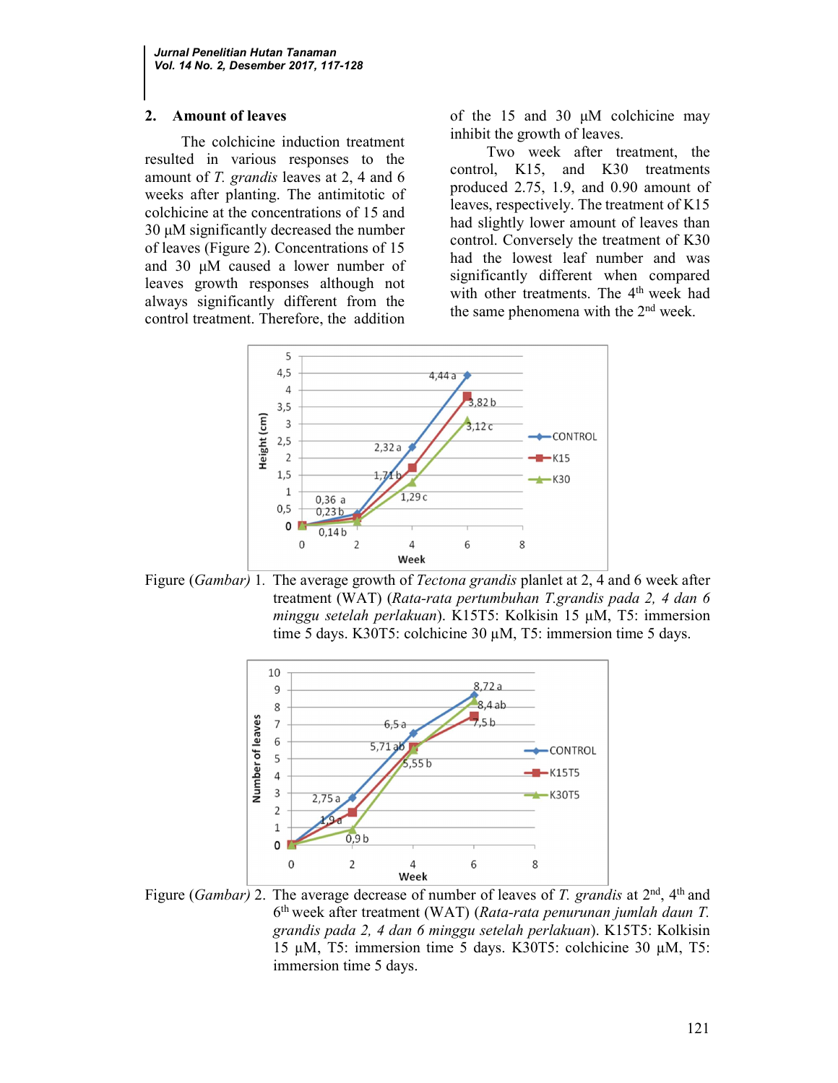### 2. Amount of leaves

The colchicine induction treatment resulted in various responses to the amount of T. grandis leaves at 2, 4 and 6 weeks after planting. The antimitotic of colchicine at the concentrations of 15 and 30 μM significantly decreased the number of leaves (Figure 2). Concentrations of 15 and 30 μM caused a lower number of leaves growth responses although not always significantly different from the control treatment. Therefore, the addition of the 15 and 30 μM colchicine may inhibit the growth of leaves.

Two week after treatment, the control, K15, and K30 treatments produced 2.75, 1.9, and 0.90 amount of leaves, respectively. The treatment of K15 had slightly lower amount of leaves than control. Conversely the treatment of K30 had the lowest leaf number and was significantly different when compared with other treatments. The 4<sup>th</sup> week had the same phenomena with the  $2<sup>nd</sup>$  week.



Figure (Gambar) 1. The average growth of *Tectona grandis* planlet at 2, 4 and 6 week after treatment (WAT) (Rata-rata pertumbuhan T.grandis pada 2, 4 dan 6 minggu setelah perlakuan). K15T5: Kolkisin 15 µM, T5: immersion time 5 days. K30T5: colchicine 30 µM, T5: immersion time 5 days.



Figure (*Gambar*) 2. The average decrease of number of leaves of T. grandis at  $2<sup>nd</sup>$ , 4<sup>th</sup> and 6<sup>th</sup> week after treatment (WAT) (Rata-rata penurunan jumlah daun T. grandis pada 2, 4 dan 6 minggu setelah perlakuan). K15T5: Kolkisin 15 µM, T5: immersion time 5 days. K30T5: colchicine 30 µM, T5: immersion time 5 days.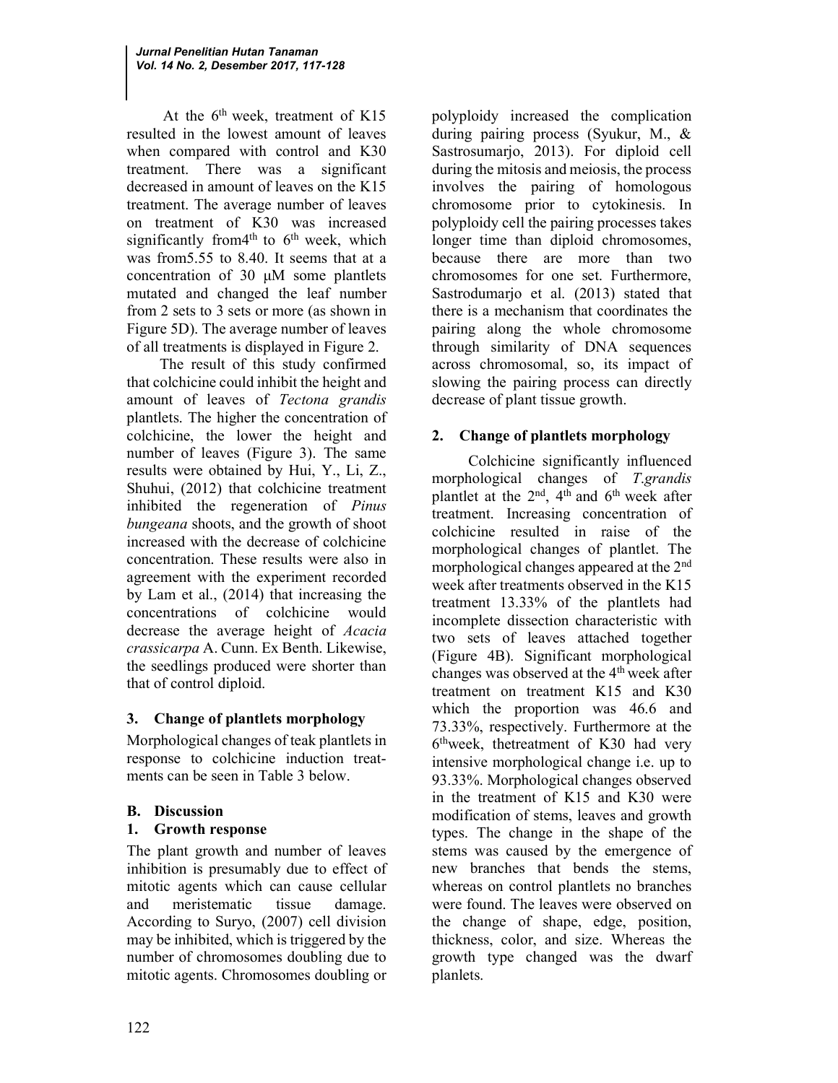At the  $6<sup>th</sup>$  week, treatment of K15 resulted in the lowest amount of leaves when compared with control and K30 treatment. There was a significant decreased in amount of leaves on the K15 treatment. The average number of leaves on treatment of K30 was increased significantly from 4<sup>th</sup> to  $6<sup>th</sup>$  week, which was from5.55 to 8.40. It seems that at a concentration of 30 μM some plantlets mutated and changed the leaf number from 2 sets to 3 sets or more (as shown in Figure 5D). The average number of leaves of all treatments is displayed in Figure 2.

The result of this study confirmed that colchicine could inhibit the height and amount of leaves of Tectona grandis plantlets. The higher the concentration of colchicine, the lower the height and number of leaves (Figure 3). The same results were obtained by Hui, Y., Li, Z., Shuhui, (2012) that colchicine treatment inhibited the regeneration of Pinus bungeana shoots, and the growth of shoot increased with the decrease of colchicine concentration. These results were also in agreement with the experiment recorded by Lam et al., (2014) that increasing the concentrations of colchicine would decrease the average height of Acacia crassicarpa A. Cunn. Ex Benth. Likewise, the seedlings produced were shorter than that of control diploid.

# 3. Change of plantlets morphology

Morphological changes of teak plantlets in response to colchicine induction treatments can be seen in Table 3 below.

# B. Discussion

# 1. Growth response

The plant growth and number of leaves inhibition is presumably due to effect of mitotic agents which can cause cellular and meristematic tissue damage. According to Suryo, (2007) cell division may be inhibited, which is triggered by the number of chromosomes doubling due to mitotic agents. Chromosomes doubling or

polyploidy increased the complication during pairing process (Syukur, M., & Sastrosumarjo, 2013). For diploid cell during the mitosis and meiosis, the process involves the pairing of homologous chromosome prior to cytokinesis. In polyploidy cell the pairing processes takes longer time than diploid chromosomes, because there are more than two chromosomes for one set. Furthermore, Sastrodumarjo et al. (2013) stated that there is a mechanism that coordinates the pairing along the whole chromosome through similarity of DNA sequences across chromosomal, so, its impact of slowing the pairing process can directly decrease of plant tissue growth.

# 2. Change of plantlets morphology

Colchicine significantly influenced morphological changes of T.grandis plantlet at the  $2<sup>nd</sup>$ ,  $4<sup>th</sup>$  and  $6<sup>th</sup>$  week after treatment. Increasing concentration of colchicine resulted in raise of the morphological changes of plantlet. The morphological changes appeared at the 2nd week after treatments observed in the K15 treatment 13.33% of the plantlets had incomplete dissection characteristic with two sets of leaves attached together (Figure 4B). Significant morphological changes was observed at the 4<sup>th</sup> week after treatment on treatment K15 and K30 which the proportion was 46.6 and 73.33%, respectively. Furthermore at the 6 thweek, thetreatment of K30 had very intensive morphological change i.e. up to 93.33%. Morphological changes observed in the treatment of K15 and K30 were modification of stems, leaves and growth types. The change in the shape of the stems was caused by the emergence of new branches that bends the stems, whereas on control plantlets no branches were found. The leaves were observed on the change of shape, edge, position, thickness, color, and size. Whereas the growth type changed was the dwarf planlets.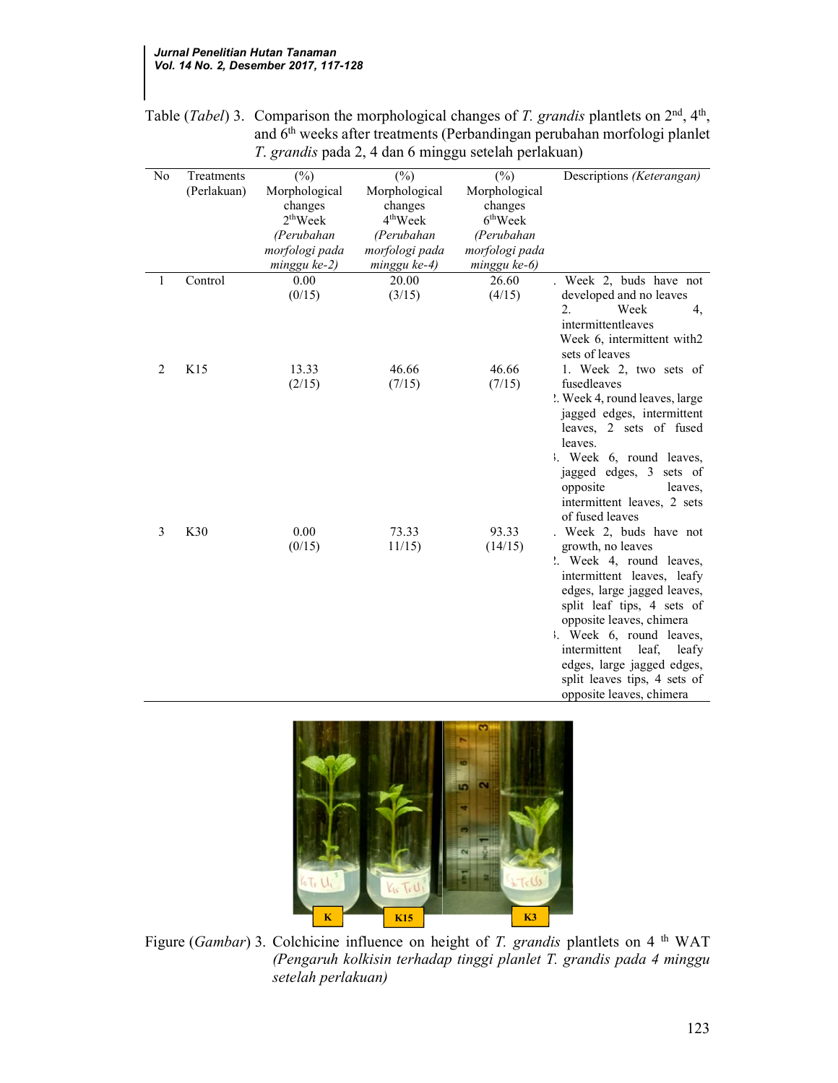| N <sub>0</sub> | Treatments<br>(Perlakuan) | $(\%)$<br>Morphological<br>changes<br>$2th$ Week<br>(Perubahan<br>morfologi pada | $(\%)$<br>Morphological<br>changes<br>$4th$ Week<br>(Perubahan<br>morfologi pada | $(\%)$<br>Morphological<br>changes<br>6 <sup>th</sup> Week<br>(Perubahan<br>morfologi pada | Descriptions (Keterangan)                                                                                                                                                                                                                                                                                                                            |
|----------------|---------------------------|----------------------------------------------------------------------------------|----------------------------------------------------------------------------------|--------------------------------------------------------------------------------------------|------------------------------------------------------------------------------------------------------------------------------------------------------------------------------------------------------------------------------------------------------------------------------------------------------------------------------------------------------|
|                |                           | minggu ke-2)                                                                     | minggu ke-4)                                                                     | minggu ke-6)                                                                               |                                                                                                                                                                                                                                                                                                                                                      |
| 1              | Control                   | 0.00<br>(0/15)                                                                   | 20.00<br>(3/15)                                                                  | 26.60<br>(4/15)                                                                            | . Week 2, buds have not<br>developed and no leaves<br>$\overline{2}$ .<br>Week<br>4,<br>intermittentleaves<br>Week 6, intermittent with2<br>sets of leaves                                                                                                                                                                                           |
| 2              | K15                       | 13.33<br>(2/15)                                                                  | 46.66<br>(7/15)                                                                  | 46.66<br>(7/15)                                                                            | 1. Week 2, two sets of<br>fusedleaves<br>". Week 4, round leaves, large<br>jagged edges, intermittent<br>leaves, 2 sets of fused<br>leaves.<br>Week 6, round leaves,<br>jagged edges, 3 sets of<br>opposite<br>leaves.<br>intermittent leaves, 2 sets<br>of fused leaves                                                                             |
| 3              | K30                       | 0.00<br>(0/15)                                                                   | 73.33<br>11/15                                                                   | 93.33<br>(14/15)                                                                           | . Week 2, buds have not<br>growth, no leaves<br>". Week 4, round leaves,<br>intermittent leaves, leafy<br>edges, large jagged leaves,<br>split leaf tips, 4 sets of<br>opposite leaves, chimera<br>Week 6, round leaves,<br>intermittent<br>leaf,<br>leafy<br>edges, large jagged edges,<br>split leaves tips, 4 sets of<br>opposite leaves, chimera |
|                |                           |                                                                                  |                                                                                  |                                                                                            |                                                                                                                                                                                                                                                                                                                                                      |

Table (*Tabel*) 3. Comparison the morphological changes of *T. grandis* plantlets on  $2<sup>nd</sup>$ ,  $4<sup>th</sup>$ , and 6th weeks after treatments (Perbandingan perubahan morfologi planlet T. grandis pada 2, 4 dan 6 minggu setelah perlakuan)



Figure (Gambar) 3. Colchicine influence on height of T. grandis plantlets on 4 <sup>th</sup> WAT (Pengaruh kolkisin terhadap tinggi planlet T. grandis pada 4 minggu setelah perlakuan)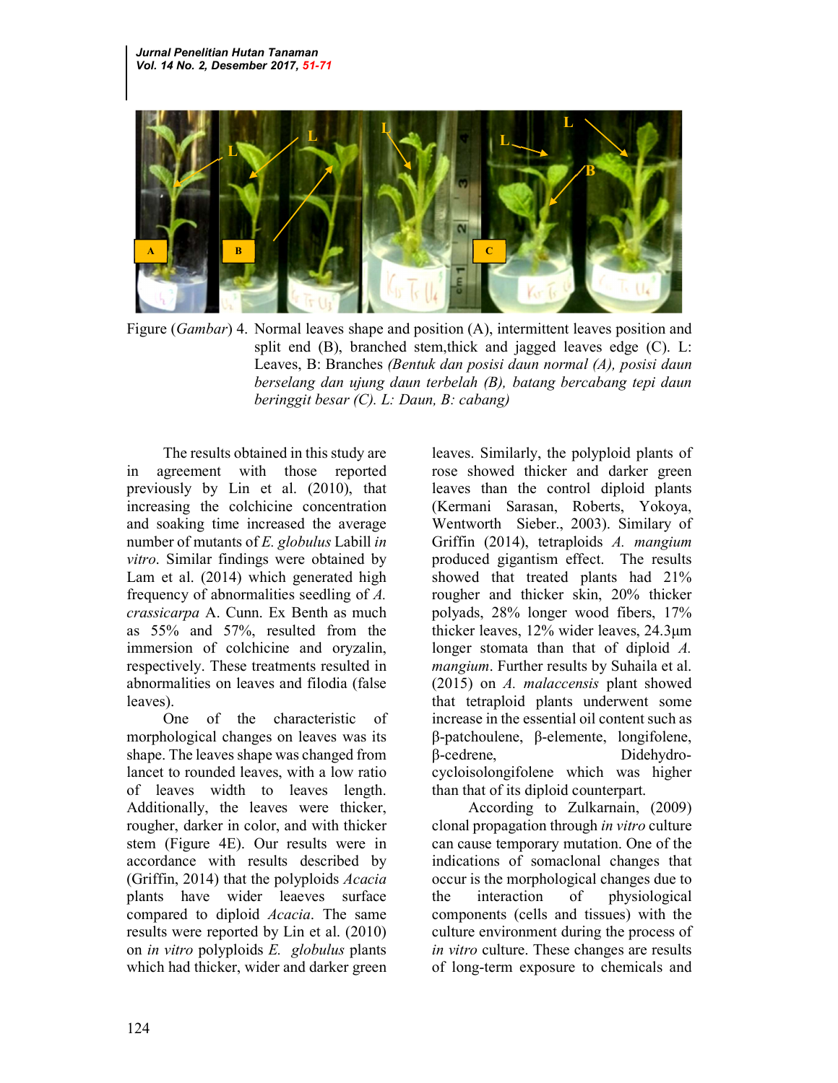

Figure (*Gambar*) 4. Normal leaves shape and position (A), intermittent leaves position and split end (B), branched stem,thick and jagged leaves edge (C). L: Leaves, B: Branches (Bentuk dan posisi daun normal (A), posisi daun berselang dan ujung daun terbelah (B), batang bercabang tepi daun beringgit besar (C). L: Daun, B: cabang)

The results obtained in this study are in agreement with those reported previously by Lin et al. (2010), that increasing the colchicine concentration and soaking time increased the average number of mutants of E. globulus Labill in vitro. Similar findings were obtained by Lam et al. (2014) which generated high frequency of abnormalities seedling of A. crassicarpa A. Cunn. Ex Benth as much as 55% and 57%, resulted from the immersion of colchicine and oryzalin, respectively. These treatments resulted in abnormalities on leaves and filodia (false leaves).

One of the characteristic of morphological changes on leaves was its shape. The leaves shape was changed from lancet to rounded leaves, with a low ratio of leaves width to leaves length. Additionally, the leaves were thicker, rougher, darker in color, and with thicker stem (Figure 4E). Our results were in accordance with results described by (Griffin, 2014) that the polyploids Acacia plants have wider leaeves surface compared to diploid Acacia. The same results were reported by Lin et al. (2010) on in vitro polyploids E. globulus plants which had thicker, wider and darker green

leaves. Similarly, the polyploid plants of rose showed thicker and darker green leaves than the control diploid plants (Kermani Sarasan, Roberts, Yokoya, Wentworth Sieber., 2003). Similary of Griffin (2014), tetraploids A. mangium produced gigantism effect. The results showed that treated plants had 21% rougher and thicker skin, 20% thicker polyads, 28% longer wood fibers, 17% thicker leaves, 12% wider leaves, 24.3μm longer stomata than that of diploid A. mangium. Further results by Suhaila et al. (2015) on A. malaccensis plant showed that tetraploid plants underwent some increase in the essential oil content such as β-patchoulene, β-elemente, longifolene, β-cedrene, Didehydrocycloisolongifolene which was higher than that of its diploid counterpart.

According to Zulkarnain, (2009) clonal propagation through in vitro culture can cause temporary mutation. One of the indications of somaclonal changes that occur is the morphological changes due to the interaction of physiological components (cells and tissues) with the culture environment during the process of in vitro culture. These changes are results of long-term exposure to chemicals and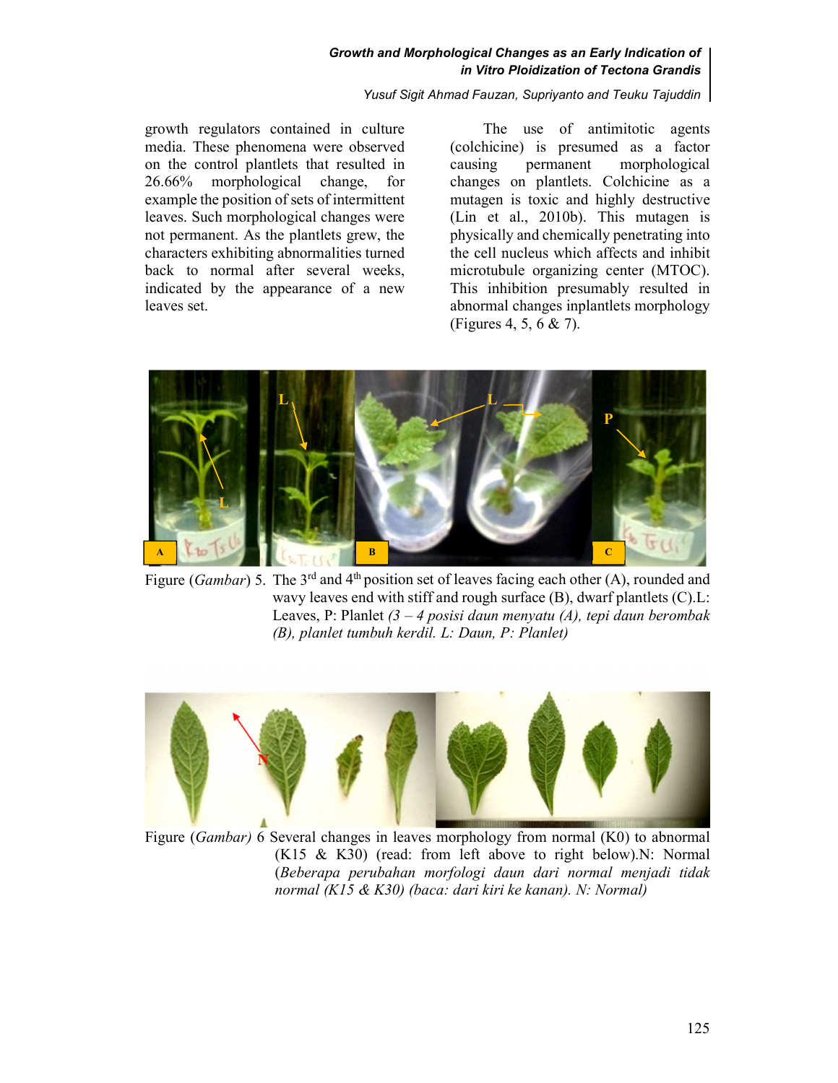#### Growth and Morphological Changes as an Early Indication of in Vitro Ploidization of Tectona Grandis

Yusuf Sigit Ahmad Fauzan, Supriyanto and Teuku Tajuddin

growth regulators contained in culture media. These phenomena were observed on the control plantlets that resulted in 26.66% morphological change, for example the position of sets of intermittent leaves. Such morphological changes were not permanent. As the plantlets grew, the characters exhibiting abnormalities turned back to normal after several weeks, indicated by the appearance of a new leaves set.

The use of antimitotic agents (colchicine) is presumed as a factor causing permanent morphological changes on plantlets. Colchicine as a mutagen is toxic and highly destructive (Lin et al., 2010b). This mutagen is physically and chemically penetrating into the cell nucleus which affects and inhibit microtubule organizing center (MTOC). This inhibition presumably resulted in abnormal changes inplantlets morphology (Figures 4, 5, 6 & 7).



Figure (Gambar) 5. The 3<sup>rd</sup> and 4<sup>th</sup> position set of leaves facing each other (A), rounded and wavy leaves end with stiff and rough surface (B), dwarf plantlets (C).L: Leaves, P: Planlet  $(3 – 4$  posisi daun menyatu (A), tepi daun berombak (B), planlet tumbuh kerdil. L: Daun, P: Planlet)



Figure (Gambar) 6 Several changes in leaves morphology from normal (K0) to abnormal (K15 & K30) (read: from left above to right below).N: Normal (Beberapa perubahan morfologi daun dari normal menjadi tidak normal (K15 & K30) (baca: dari kiri ke kanan). N: Normal)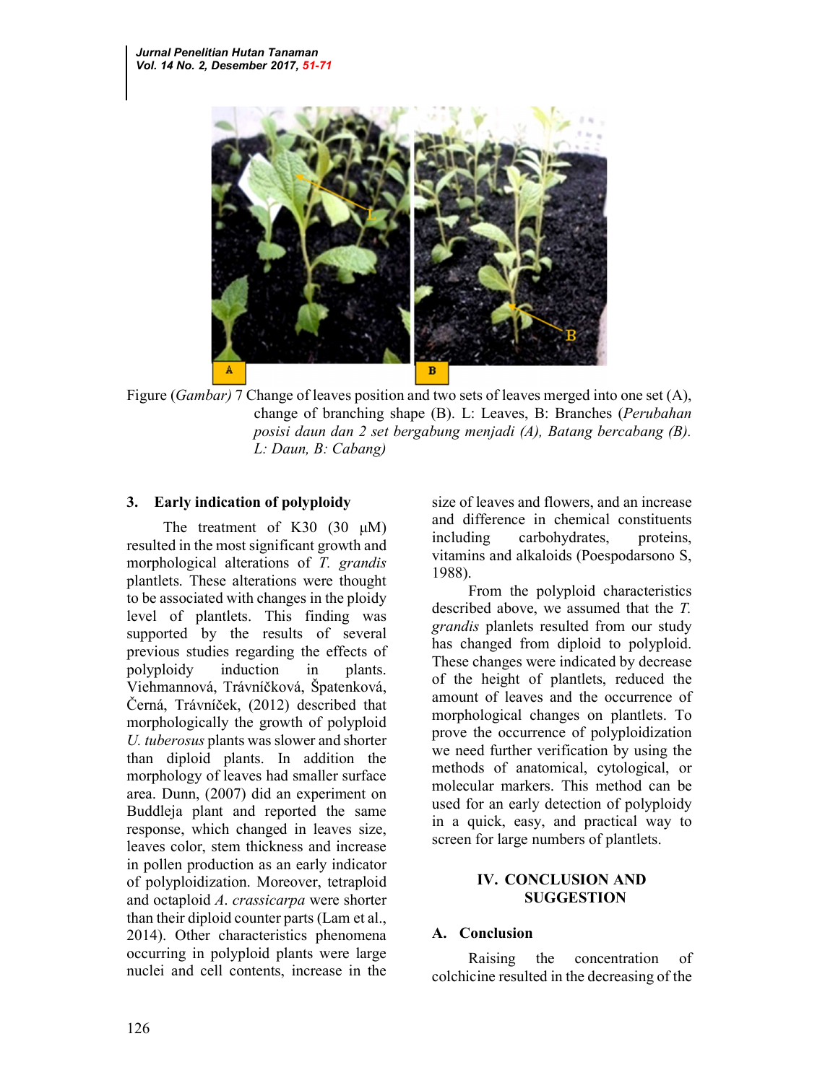

Figure *(Gambar)* 7 Change of leaves position and two sets of leaves merged into one set (A), change of branching shape (B). L: Leaves, B: Branches (Perubahan posisi daun dan 2 set bergabung menjadi (A), Batang bercabang (B). L: Daun, B: Cabang)

### 3. Early indication of polyploidy

The treatment of K30  $(30 \mu M)$ resulted in the most significant growth and morphological alterations of T. grandis plantlets. These alterations were thought to be associated with changes in the ploidy level of plantlets. This finding was supported by the results of several previous studies regarding the effects of polyploidy induction in plants. Viehmannová, Trávníčková, Špatenková, Černá, Trávníček, (2012) described that morphologically the growth of polyploid U. tuberosus plants was slower and shorter than diploid plants. In addition the morphology of leaves had smaller surface area. Dunn, (2007) did an experiment on Buddleja plant and reported the same response, which changed in leaves size, leaves color, stem thickness and increase in pollen production as an early indicator of polyploidization. Moreover, tetraploid and octaploid A. crassicarpa were shorter than their diploid counter parts (Lam et al., 2014). Other characteristics phenomena occurring in polyploid plants were large nuclei and cell contents, increase in the

size of leaves and flowers, and an increase and difference in chemical constituents including carbohydrates, proteins, vitamins and alkaloids (Poespodarsono S, 1988).

From the polyploid characteristics described above, we assumed that the T. grandis planlets resulted from our study has changed from diploid to polyploid. These changes were indicated by decrease of the height of plantlets, reduced the amount of leaves and the occurrence of morphological changes on plantlets. To prove the occurrence of polyploidization we need further verification by using the methods of anatomical, cytological, or molecular markers. This method can be used for an early detection of polyploidy in a quick, easy, and practical way to screen for large numbers of plantlets.

### IV. CONCLUSION AND SUGGESTION

### A. Conclusion

Raising the concentration of colchicine resulted in the decreasing of the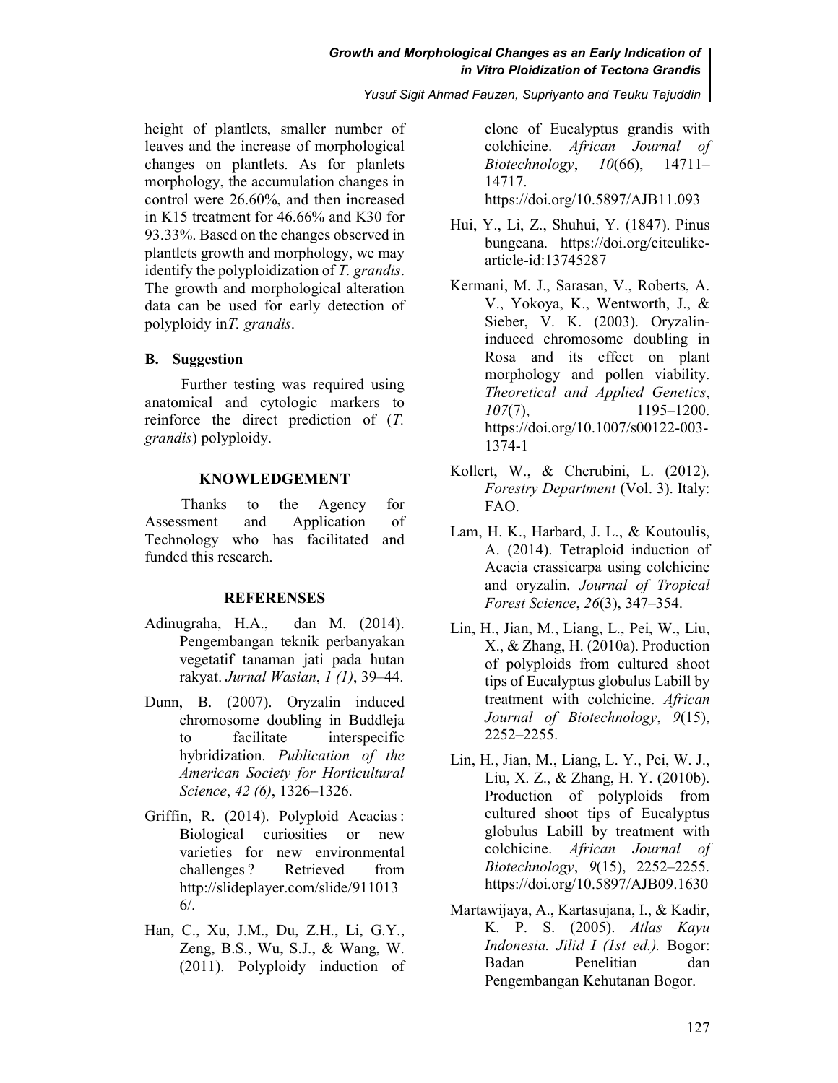#### Growth and Morphological Changes as an Early Indication of in Vitro Ploidization of Tectona Grandis

Yusuf Sigit Ahmad Fauzan, Supriyanto and Teuku Tajuddin

height of plantlets, smaller number of leaves and the increase of morphological changes on plantlets. As for planlets morphology, the accumulation changes in control were 26.60%, and then increased in K15 treatment for 46.66% and K30 for 93.33%. Based on the changes observed in plantlets growth and morphology, we may identify the polyploidization of T. grandis. The growth and morphological alteration data can be used for early detection of polyploidy in T. grandis.

#### B. Suggestion

Further testing was required using anatomical and cytologic markers to reinforce the direct prediction of (T. grandis) polyploidy.

#### KNOWLEDGEMENT

Thanks to the Agency for Assessment and Application of Technology who has facilitated and funded this research.

#### **REFERENSES**

- Adinugraha, H.A., dan M. (2014). Pengembangan teknik perbanyakan vegetatif tanaman jati pada hutan rakyat. Jurnal Wasian, 1 (1), 39–44.
- Dunn, B. (2007). Oryzalin induced chromosome doubling in Buddleja to facilitate interspecific hybridization. Publication of the American Society for Horticultural Science, 42 (6), 1326–1326.
- Griffin, R. (2014). Polyploid Acacias : Biological curiosities or new varieties for new environmental challenges ? Retrieved from http://slideplayer.com/slide/911013 6/.
- Han, C., Xu, J.M., Du, Z.H., Li, G.Y., Zeng, B.S., Wu, S.J., & Wang, W. (2011). Polyploidy induction of

clone of Eucalyptus grandis with colchicine. African Journal of Biotechnology, 10(66), 14711– 14717. https://doi.org/10.5897/AJB11.093

- Hui, Y., Li, Z., Shuhui, Y. (1847). Pinus bungeana. https://doi.org/citeulikearticle-id:13745287
- Kermani, M. J., Sarasan, V., Roberts, A. V., Yokoya, K., Wentworth, J., & Sieber, V. K. (2003). Oryzalininduced chromosome doubling in Rosa and its effect on plant morphology and pollen viability. Theoretical and Applied Genetics,  $107(7)$ , 1195–1200. https://doi.org/10.1007/s00122-003- 1374-1
- Kollert, W., & Cherubini, L. (2012). Forestry Department (Vol. 3). Italy: FAO.
- Lam, H. K., Harbard, J. L., & Koutoulis, A. (2014). Tetraploid induction of Acacia crassicarpa using colchicine and oryzalin. Journal of Tropical Forest Science, 26(3), 347–354.
- Lin, H., Jian, M., Liang, L., Pei, W., Liu, X., & Zhang, H. (2010a). Production of polyploids from cultured shoot tips of Eucalyptus globulus Labill by treatment with colchicine. African Journal of Biotechnology, 9(15), 2252–2255.
- Lin, H., Jian, M., Liang, L. Y., Pei, W. J., Liu, X. Z., & Zhang, H. Y. (2010b). Production of polyploids from cultured shoot tips of Eucalyptus globulus Labill by treatment with colchicine. African Journal of Biotechnology, 9(15), 2252–2255. https://doi.org/10.5897/AJB09.1630
- Martawijaya, A., Kartasujana, I., & Kadir, K. P. S. (2005). Atlas Kayu Indonesia. Jilid I (1st ed.). Bogor: Badan Penelitian dan Pengembangan Kehutanan Bogor.